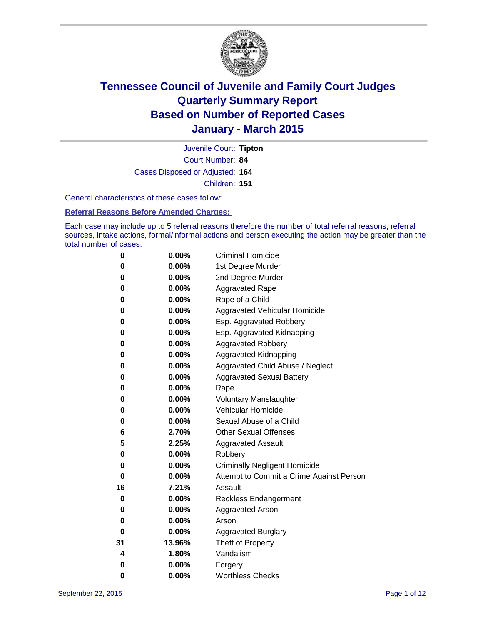

Court Number: **84** Juvenile Court: **Tipton** Cases Disposed or Adjusted: **164** Children: **151**

General characteristics of these cases follow:

**Referral Reasons Before Amended Charges:** 

Each case may include up to 5 referral reasons therefore the number of total referral reasons, referral sources, intake actions, formal/informal actions and person executing the action may be greater than the total number of cases.

| 0  | 0.00%    | <b>Criminal Homicide</b>                 |
|----|----------|------------------------------------------|
| 0  | 0.00%    | 1st Degree Murder                        |
| 0  | 0.00%    | 2nd Degree Murder                        |
| 0  | $0.00\%$ | <b>Aggravated Rape</b>                   |
| 0  | 0.00%    | Rape of a Child                          |
| 0  | 0.00%    | Aggravated Vehicular Homicide            |
| 0  | 0.00%    | Esp. Aggravated Robbery                  |
| 0  | 0.00%    | Esp. Aggravated Kidnapping               |
| 0  | 0.00%    | <b>Aggravated Robbery</b>                |
| 0  | 0.00%    | <b>Aggravated Kidnapping</b>             |
| 0  | 0.00%    | Aggravated Child Abuse / Neglect         |
| 0  | 0.00%    | <b>Aggravated Sexual Battery</b>         |
| 0  | 0.00%    | Rape                                     |
| 0  | $0.00\%$ | <b>Voluntary Manslaughter</b>            |
| 0  | 0.00%    | <b>Vehicular Homicide</b>                |
| 0  | 0.00%    | Sexual Abuse of a Child                  |
| 6  | 2.70%    | <b>Other Sexual Offenses</b>             |
| 5  | 2.25%    | <b>Aggravated Assault</b>                |
| 0  | 0.00%    | Robbery                                  |
| 0  | 0.00%    | <b>Criminally Negligent Homicide</b>     |
| 0  | 0.00%    | Attempt to Commit a Crime Against Person |
| 16 | 7.21%    | Assault                                  |
| 0  | 0.00%    | <b>Reckless Endangerment</b>             |
| 0  | $0.00\%$ | <b>Aggravated Arson</b>                  |
| 0  | 0.00%    | Arson                                    |
| 0  | 0.00%    | <b>Aggravated Burglary</b>               |
| 31 | 13.96%   | Theft of Property                        |
| 4  | 1.80%    | Vandalism                                |
| 0  | 0.00%    | Forgery                                  |
| 0  | 0.00%    | <b>Worthless Checks</b>                  |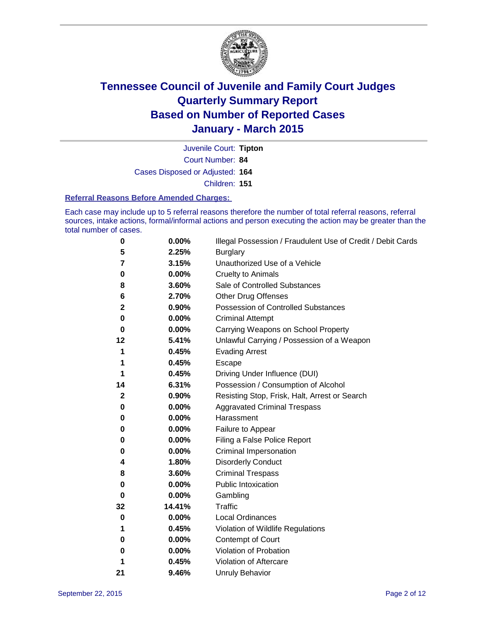

Court Number: **84** Juvenile Court: **Tipton** Cases Disposed or Adjusted: **164** Children: **151**

#### **Referral Reasons Before Amended Charges:**

Each case may include up to 5 referral reasons therefore the number of total referral reasons, referral sources, intake actions, formal/informal actions and person executing the action may be greater than the total number of cases.

| 0        | 0.00%  | Illegal Possession / Fraudulent Use of Credit / Debit Cards |
|----------|--------|-------------------------------------------------------------|
| 5        | 2.25%  | <b>Burglary</b>                                             |
| 7        | 3.15%  | Unauthorized Use of a Vehicle                               |
| 0        | 0.00%  | <b>Cruelty to Animals</b>                                   |
| 8        | 3.60%  | Sale of Controlled Substances                               |
| 6        | 2.70%  | <b>Other Drug Offenses</b>                                  |
| 2        | 0.90%  | Possession of Controlled Substances                         |
| 0        | 0.00%  | <b>Criminal Attempt</b>                                     |
| 0        | 0.00%  | Carrying Weapons on School Property                         |
| 12       | 5.41%  | Unlawful Carrying / Possession of a Weapon                  |
| 1        | 0.45%  | <b>Evading Arrest</b>                                       |
| 1        | 0.45%  | Escape                                                      |
| 1        | 0.45%  | Driving Under Influence (DUI)                               |
| 14       | 6.31%  | Possession / Consumption of Alcohol                         |
| 2        | 0.90%  | Resisting Stop, Frisk, Halt, Arrest or Search               |
| 0        | 0.00%  | <b>Aggravated Criminal Trespass</b>                         |
| 0        | 0.00%  | Harassment                                                  |
| 0        | 0.00%  | Failure to Appear                                           |
| 0        | 0.00%  | Filing a False Police Report                                |
| 0        | 0.00%  | Criminal Impersonation                                      |
| 4        | 1.80%  | <b>Disorderly Conduct</b>                                   |
| 8        | 3.60%  | <b>Criminal Trespass</b>                                    |
| $\bf{0}$ | 0.00%  | <b>Public Intoxication</b>                                  |
| 0        | 0.00%  | Gambling                                                    |
| 32       | 14.41% | <b>Traffic</b>                                              |
| 0        | 0.00%  | <b>Local Ordinances</b>                                     |
| 1        | 0.45%  | Violation of Wildlife Regulations                           |
| 0        | 0.00%  | Contempt of Court                                           |
| 0        | 0.00%  | Violation of Probation                                      |
| 1        | 0.45%  | Violation of Aftercare                                      |
| 21       | 9.46%  | <b>Unruly Behavior</b>                                      |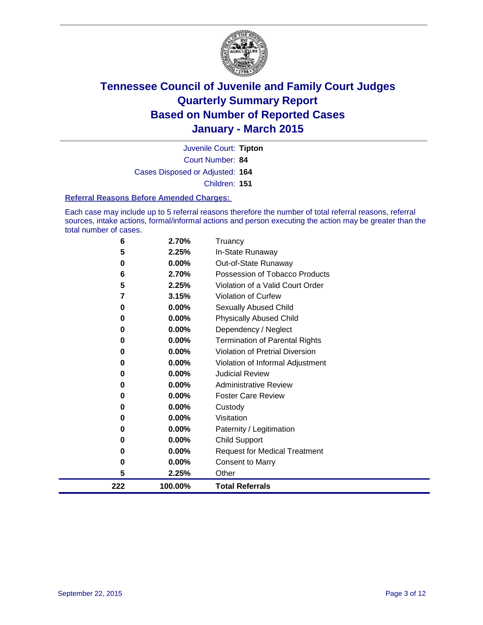

Court Number: **84** Juvenile Court: **Tipton** Cases Disposed or Adjusted: **164** Children: **151**

#### **Referral Reasons Before Amended Charges:**

Each case may include up to 5 referral reasons therefore the number of total referral reasons, referral sources, intake actions, formal/informal actions and person executing the action may be greater than the total number of cases.

| 6   | 2.70%    | Truancy                                |
|-----|----------|----------------------------------------|
| 5   | 2.25%    | In-State Runaway                       |
| 0   | 0.00%    | Out-of-State Runaway                   |
| 6   | 2.70%    | Possession of Tobacco Products         |
| 5   | 2.25%    | Violation of a Valid Court Order       |
| 7   | 3.15%    | <b>Violation of Curfew</b>             |
| 0   | 0.00%    | Sexually Abused Child                  |
| 0   | 0.00%    | <b>Physically Abused Child</b>         |
| 0   | 0.00%    | Dependency / Neglect                   |
| 0   | 0.00%    | <b>Termination of Parental Rights</b>  |
| 0   | 0.00%    | <b>Violation of Pretrial Diversion</b> |
| 0   | 0.00%    | Violation of Informal Adjustment       |
| 0   | 0.00%    | <b>Judicial Review</b>                 |
| 0   | $0.00\%$ | <b>Administrative Review</b>           |
| 0   | 0.00%    | <b>Foster Care Review</b>              |
| 0   | 0.00%    | Custody                                |
| 0   | $0.00\%$ | Visitation                             |
| 0   | 0.00%    | Paternity / Legitimation               |
| 0   | 0.00%    | Child Support                          |
| 0   | 0.00%    | <b>Request for Medical Treatment</b>   |
| 0   | 0.00%    | <b>Consent to Marry</b>                |
| 5   | 2.25%    | Other                                  |
| 222 | 100.00%  | <b>Total Referrals</b>                 |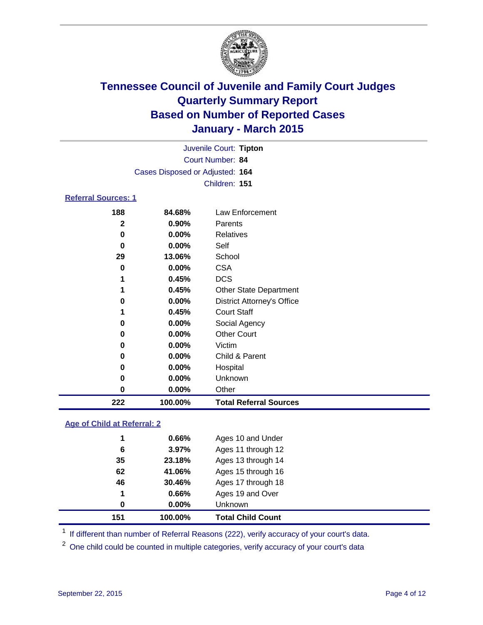

|                            | Juvenile Court: Tipton          |                    |
|----------------------------|---------------------------------|--------------------|
|                            | Court Number: 84                |                    |
|                            | Cases Disposed or Adjusted: 164 |                    |
|                            | Children: 151                   |                    |
| <b>Referral Sources: 1</b> |                                 |                    |
| 400                        | 01001                           | $l$ au Enforcement |

| 222          | 100.00%  | <b>Total Referral Sources</b>     |
|--------------|----------|-----------------------------------|
| 0            | $0.00\%$ | Other                             |
| 0            | $0.00\%$ | Unknown                           |
| 0            | $0.00\%$ | Hospital                          |
| 0            | $0.00\%$ | Child & Parent                    |
| 0            | $0.00\%$ | Victim                            |
| 0            | 0.00%    | <b>Other Court</b>                |
| 0            | $0.00\%$ | Social Agency                     |
| 1            | 0.45%    | <b>Court Staff</b>                |
| 0            | $0.00\%$ | <b>District Attorney's Office</b> |
|              | 0.45%    | <b>Other State Department</b>     |
| 1            | 0.45%    | <b>DCS</b>                        |
| 0            | $0.00\%$ | <b>CSA</b>                        |
| 29           | 13.06%   | School                            |
| 0            | $0.00\%$ | Self                              |
| 0            | $0.00\%$ | Relatives                         |
| $\mathbf{2}$ | $0.90\%$ | Parents                           |
| 188          | 84.68%   | Law Enforcement                   |

#### **Age of Child at Referral: 2**

| 151 | 100.00%  | <b>Total Child Count</b> |
|-----|----------|--------------------------|
| 0   | $0.00\%$ | <b>Unknown</b>           |
| 1   | 0.66%    | Ages 19 and Over         |
| 46  | 30.46%   | Ages 17 through 18       |
| 62  | 41.06%   | Ages 15 through 16       |
| 35  | 23.18%   | Ages 13 through 14       |
| 6   | 3.97%    | Ages 11 through 12       |
| 1   | 0.66%    | Ages 10 and Under        |

<sup>1</sup> If different than number of Referral Reasons (222), verify accuracy of your court's data.

One child could be counted in multiple categories, verify accuracy of your court's data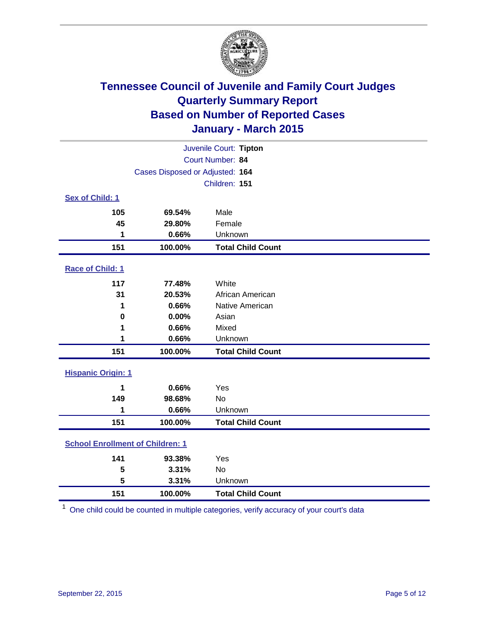

| Juvenile Court: Tipton                  |                                 |                          |  |  |  |
|-----------------------------------------|---------------------------------|--------------------------|--|--|--|
| Court Number: 84                        |                                 |                          |  |  |  |
|                                         | Cases Disposed or Adjusted: 164 |                          |  |  |  |
|                                         |                                 | Children: 151            |  |  |  |
| <b>Sex of Child: 1</b>                  |                                 |                          |  |  |  |
| 105                                     | 69.54%                          | Male                     |  |  |  |
| 45                                      | 29.80%                          | Female                   |  |  |  |
| 1                                       | 0.66%                           | Unknown                  |  |  |  |
| 151                                     | 100.00%                         | <b>Total Child Count</b> |  |  |  |
| Race of Child: 1                        |                                 |                          |  |  |  |
| 117                                     | 77.48%                          | White                    |  |  |  |
| 31                                      | 20.53%                          | African American         |  |  |  |
| 1                                       | 0.66%                           | Native American          |  |  |  |
| 0                                       | 0.00%                           | Asian                    |  |  |  |
| 1                                       | 0.66%                           | Mixed                    |  |  |  |
| 1                                       | 0.66%                           | Unknown                  |  |  |  |
| 151                                     | 100.00%                         | <b>Total Child Count</b> |  |  |  |
| <b>Hispanic Origin: 1</b>               |                                 |                          |  |  |  |
| 1                                       | 0.66%                           | Yes                      |  |  |  |
| 149                                     | 98.68%                          | No                       |  |  |  |
| 1                                       | 0.66%                           | Unknown                  |  |  |  |
| 151                                     | 100.00%                         | <b>Total Child Count</b> |  |  |  |
| <b>School Enrollment of Children: 1</b> |                                 |                          |  |  |  |
| 141                                     | 93.38%                          | Yes                      |  |  |  |
| 5                                       | 3.31%                           | No                       |  |  |  |
| 5                                       | 3.31%                           | Unknown                  |  |  |  |
| 151                                     | 100.00%                         | <b>Total Child Count</b> |  |  |  |

One child could be counted in multiple categories, verify accuracy of your court's data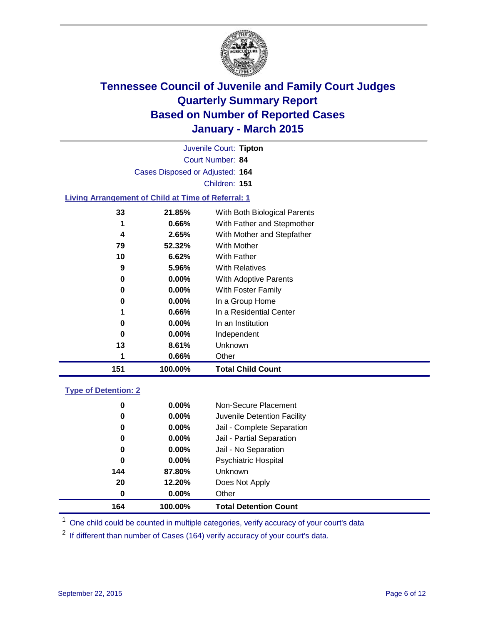

|                                                           |                                 | Juvenile Court: Tipton       |  |
|-----------------------------------------------------------|---------------------------------|------------------------------|--|
|                                                           |                                 | Court Number: 84             |  |
|                                                           | Cases Disposed or Adjusted: 164 |                              |  |
|                                                           |                                 | Children: 151                |  |
| <b>Living Arrangement of Child at Time of Referral: 1</b> |                                 |                              |  |
| 33                                                        | 21.85%                          | With Both Biological Parents |  |
| 1                                                         | 0.66%                           | With Father and Stepmother   |  |
| 4                                                         | 2.65%                           | With Mother and Stepfather   |  |
| 79                                                        | 52.32%                          | <b>With Mother</b>           |  |
| 10                                                        | 6.62%                           | With Father                  |  |
| 9                                                         | 5.96%                           | <b>With Relatives</b>        |  |
| 0                                                         | $0.00\%$                        | With Adoptive Parents        |  |
| 0                                                         | $0.00\%$                        | With Foster Family           |  |
| 0                                                         | $0.00\%$                        | In a Group Home              |  |
| 1                                                         | 0.66%                           | In a Residential Center      |  |
| 0                                                         | $0.00\%$                        | In an Institution            |  |
| 0                                                         | $0.00\%$                        | Independent                  |  |
| 13                                                        | 8.61%                           | Unknown                      |  |
| 1                                                         | 0.66%                           | Other                        |  |
| 151                                                       | 100.00%                         | <b>Total Child Count</b>     |  |
| <b>Type of Detention: 2</b>                               |                                 |                              |  |

| 0   | 0.00%    | Non-Secure Placement         |
|-----|----------|------------------------------|
| 0   | $0.00\%$ | Juvenile Detention Facility  |
| 0   | 0.00%    | Jail - Complete Separation   |
| 0   | $0.00\%$ | Jail - Partial Separation    |
| 0   | $0.00\%$ | Jail - No Separation         |
| 0   | 0.00%    | <b>Psychiatric Hospital</b>  |
| 144 | 87.80%   | Unknown                      |
| 20  | 12.20%   | Does Not Apply               |
| 0   | 0.00%    | Other                        |
| 164 | 100.00%  | <b>Total Detention Count</b> |

<sup>1</sup> One child could be counted in multiple categories, verify accuracy of your court's data

If different than number of Cases (164) verify accuracy of your court's data.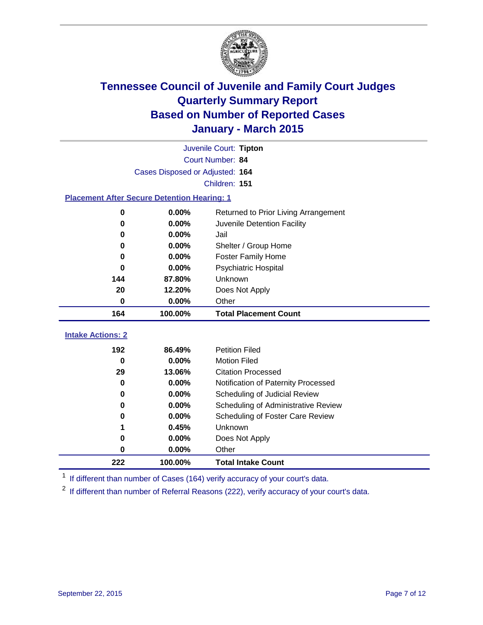

|                                                    | Juvenile Court: Tipton          |                                      |  |  |  |  |  |
|----------------------------------------------------|---------------------------------|--------------------------------------|--|--|--|--|--|
| Court Number: 84                                   |                                 |                                      |  |  |  |  |  |
|                                                    | Cases Disposed or Adjusted: 164 |                                      |  |  |  |  |  |
|                                                    | Children: 151                   |                                      |  |  |  |  |  |
| <b>Placement After Secure Detention Hearing: 1</b> |                                 |                                      |  |  |  |  |  |
| $\bf{0}$                                           | 0.00%                           | Returned to Prior Living Arrangement |  |  |  |  |  |
| 0                                                  | 0.00%                           | Juvenile Detention Facility          |  |  |  |  |  |
| 0                                                  | 0.00%                           | Jail                                 |  |  |  |  |  |
| 0                                                  | 0.00%                           | Shelter / Group Home                 |  |  |  |  |  |
| $\bf{0}$                                           | 0.00%                           | <b>Foster Family Home</b>            |  |  |  |  |  |
| $\bf{0}$                                           | 0.00%                           | <b>Psychiatric Hospital</b>          |  |  |  |  |  |
| 144                                                | 87.80%                          | Unknown                              |  |  |  |  |  |
| 20                                                 | 12.20%                          | Does Not Apply                       |  |  |  |  |  |
| $\bf{0}$                                           | 0.00%                           | Other                                |  |  |  |  |  |
| 164                                                | 100.00%                         | <b>Total Placement Count</b>         |  |  |  |  |  |
| <b>Intake Actions: 2</b>                           |                                 |                                      |  |  |  |  |  |
|                                                    |                                 |                                      |  |  |  |  |  |
| 192                                                | 86.49%                          | <b>Petition Filed</b>                |  |  |  |  |  |
| $\bf{0}$                                           | 0.00%                           | <b>Motion Filed</b>                  |  |  |  |  |  |
| 29                                                 | 13.06%                          | <b>Citation Processed</b>            |  |  |  |  |  |
| 0                                                  | 0.00%                           | Notification of Paternity Processed  |  |  |  |  |  |
| 0                                                  | 0.00%                           | Scheduling of Judicial Review        |  |  |  |  |  |
| 0                                                  | 0.00%                           | Scheduling of Administrative Review  |  |  |  |  |  |
| $\bf{0}$                                           | 0.00%                           | Scheduling of Foster Care Review     |  |  |  |  |  |
| 1                                                  | 0.45%                           | Unknown                              |  |  |  |  |  |
| 0                                                  | 0.00%                           | Does Not Apply                       |  |  |  |  |  |
| 0                                                  | 0.00%                           | Other                                |  |  |  |  |  |
| 222                                                | 100.00%                         | <b>Total Intake Count</b>            |  |  |  |  |  |

<sup>1</sup> If different than number of Cases (164) verify accuracy of your court's data.

<sup>2</sup> If different than number of Referral Reasons (222), verify accuracy of your court's data.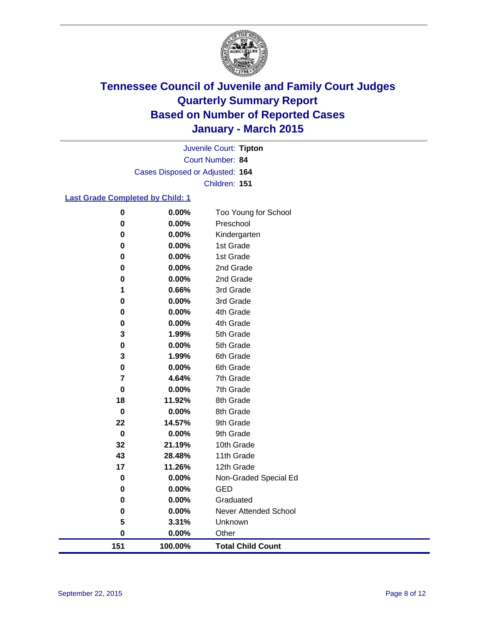

Court Number: **84** Juvenile Court: **Tipton** Cases Disposed or Adjusted: **164** Children: **151**

#### **Last Grade Completed by Child: 1**

| 151       | 100.00%        | <b>Total Child Count</b> |
|-----------|----------------|--------------------------|
| 0         | $0.00\%$       | Other                    |
| 5         | 3.31%          | Unknown                  |
| 0         | 0.00%          | Never Attended School    |
| 0         | 0.00%          | Graduated                |
| 0         | 0.00%          | <b>GED</b>               |
| $\pmb{0}$ | 0.00%          | Non-Graded Special Ed    |
| 17        | 11.26%         | 12th Grade               |
| 43        | 28.48%         | 11th Grade               |
| 32        | 21.19%         | 10th Grade               |
| $\pmb{0}$ | 0.00%          | 9th Grade                |
| 22        | 14.57%         | 9th Grade                |
| $\pmb{0}$ | 0.00%          | 8th Grade                |
| 18        | 11.92%         | 8th Grade                |
| 0         | 0.00%          | 7th Grade                |
| 7         | 4.64%          | 7th Grade                |
| 0         | 0.00%          | 6th Grade                |
| 3         | 1.99%          | 6th Grade                |
| 0         | 1.99%<br>0.00% | 5th Grade                |
| 0<br>3    | 0.00%          | 4th Grade<br>5th Grade   |
| 0         | 0.00%          | 4th Grade                |
| 0         | 0.00%          | 3rd Grade                |
| 1         | 0.66%          | 3rd Grade                |
| 0         | 0.00%          | 2nd Grade                |
| 0         | 0.00%          | 2nd Grade                |
| 0         | 0.00%          | 1st Grade                |
| 0         | 0.00%          | 1st Grade                |
| 0         | 0.00%          | Kindergarten             |
| 0         | 0.00%          | Preschool                |
| 0         | 0.00%          | Too Young for School     |
|           |                |                          |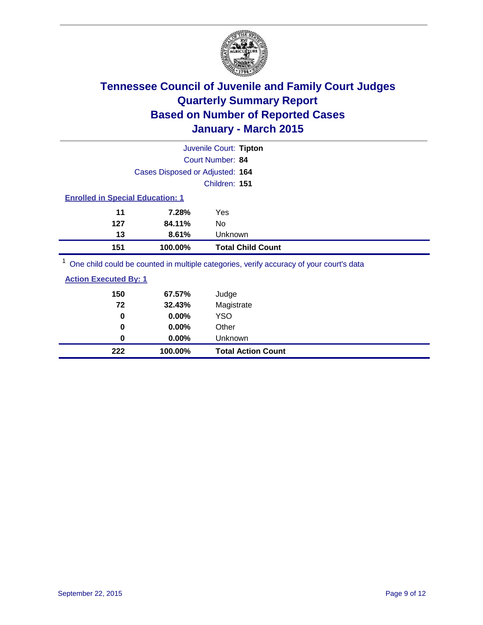

|     |                                         | Juvenile Court: Tipton                                                                  |  |  |  |
|-----|-----------------------------------------|-----------------------------------------------------------------------------------------|--|--|--|
|     |                                         | Court Number: 84                                                                        |  |  |  |
|     | Cases Disposed or Adjusted: 164         |                                                                                         |  |  |  |
|     |                                         | Children: 151                                                                           |  |  |  |
|     | <b>Enrolled in Special Education: 1</b> |                                                                                         |  |  |  |
| 11  | 7.28%                                   | Yes                                                                                     |  |  |  |
| 127 | 84.11%                                  | No                                                                                      |  |  |  |
| 13  | 8.61%                                   | Unknown                                                                                 |  |  |  |
| 151 | 100.00%                                 | <b>Total Child Count</b>                                                                |  |  |  |
|     |                                         | One child could be counted in multiple categories, verify accuracy of your court's data |  |  |  |
|     | <b>Action Executed By: 1</b>            |                                                                                         |  |  |  |

| 222 | 100.00%  | <b>Total Action Count</b> |
|-----|----------|---------------------------|
| 0   | $0.00\%$ | Unknown                   |
| 0   | $0.00\%$ | Other                     |
| 0   | $0.00\%$ | <b>YSO</b>                |
| 72  | 32.43%   | Magistrate                |
| 150 | 67.57%   | Judge                     |
|     |          |                           |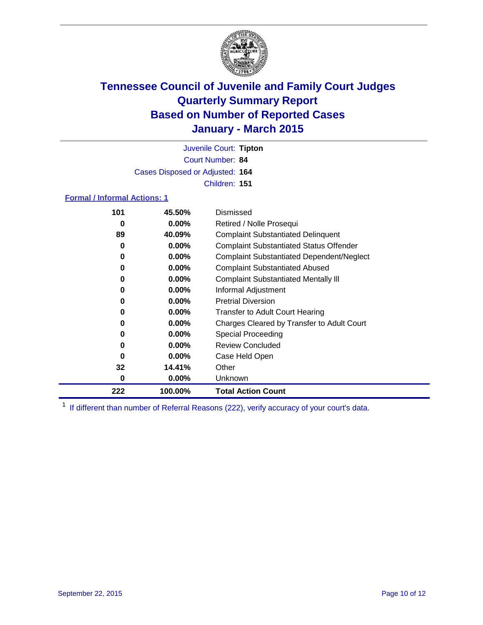

Court Number: **84** Juvenile Court: **Tipton** Cases Disposed or Adjusted: **164** Children: **151**

#### **Formal / Informal Actions: 1**

| 101 | 45.50%   | Dismissed                                        |
|-----|----------|--------------------------------------------------|
| 0   | $0.00\%$ | Retired / Nolle Prosequi                         |
| 89  | 40.09%   | <b>Complaint Substantiated Delinquent</b>        |
| 0   | $0.00\%$ | <b>Complaint Substantiated Status Offender</b>   |
| 0   | $0.00\%$ | <b>Complaint Substantiated Dependent/Neglect</b> |
| 0   | $0.00\%$ | <b>Complaint Substantiated Abused</b>            |
| 0   | $0.00\%$ | <b>Complaint Substantiated Mentally III</b>      |
| 0   | $0.00\%$ | Informal Adjustment                              |
| 0   | $0.00\%$ | <b>Pretrial Diversion</b>                        |
| 0   | $0.00\%$ | <b>Transfer to Adult Court Hearing</b>           |
| 0   | $0.00\%$ | Charges Cleared by Transfer to Adult Court       |
| 0   | $0.00\%$ | Special Proceeding                               |
| 0   | $0.00\%$ | <b>Review Concluded</b>                          |
| 0   | $0.00\%$ | Case Held Open                                   |
| 32  | 14.41%   | Other                                            |
| 0   | $0.00\%$ | <b>Unknown</b>                                   |
| 222 | 100.00%  | <b>Total Action Count</b>                        |

<sup>1</sup> If different than number of Referral Reasons (222), verify accuracy of your court's data.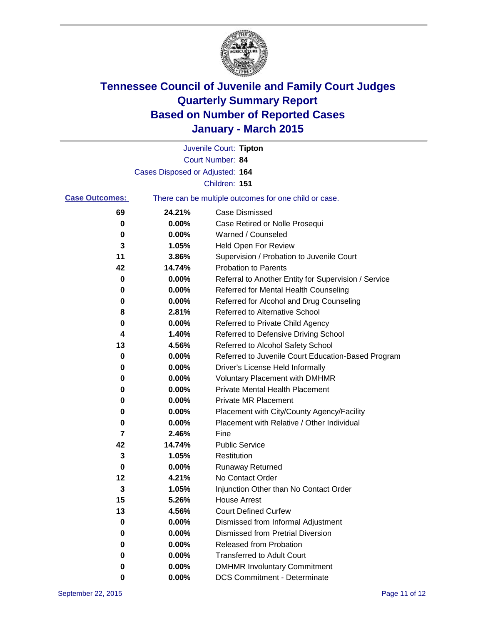

|                       |                                 | Juvenile Court: Tipton                                |
|-----------------------|---------------------------------|-------------------------------------------------------|
|                       |                                 | Court Number: 84                                      |
|                       | Cases Disposed or Adjusted: 164 |                                                       |
|                       |                                 | Children: 151                                         |
| <b>Case Outcomes:</b> |                                 | There can be multiple outcomes for one child or case. |
| 69                    | 24.21%                          | <b>Case Dismissed</b>                                 |
| 0                     | 0.00%                           | Case Retired or Nolle Prosequi                        |
| 0                     | 0.00%                           | Warned / Counseled                                    |
| 3                     | 1.05%                           | Held Open For Review                                  |
| 11                    | 3.86%                           | Supervision / Probation to Juvenile Court             |
| 42                    | 14.74%                          | <b>Probation to Parents</b>                           |
| 0                     | 0.00%                           | Referral to Another Entity for Supervision / Service  |
| 0                     | 0.00%                           | Referred for Mental Health Counseling                 |
| 0                     | 0.00%                           | Referred for Alcohol and Drug Counseling              |
| 8                     | 2.81%                           | Referred to Alternative School                        |
| 0                     | 0.00%                           | Referred to Private Child Agency                      |
| 4                     | 1.40%                           | Referred to Defensive Driving School                  |
| 13                    | 4.56%                           | Referred to Alcohol Safety School                     |
| 0                     | 0.00%                           | Referred to Juvenile Court Education-Based Program    |
| 0                     | 0.00%                           | Driver's License Held Informally                      |
| 0                     | 0.00%                           | <b>Voluntary Placement with DMHMR</b>                 |
| 0                     | 0.00%                           | <b>Private Mental Health Placement</b>                |
| 0                     | 0.00%                           | <b>Private MR Placement</b>                           |
| 0                     | 0.00%                           | Placement with City/County Agency/Facility            |
| 0                     | 0.00%                           | Placement with Relative / Other Individual            |
| 7                     | 2.46%                           | Fine                                                  |
| 42                    | 14.74%                          | <b>Public Service</b>                                 |
| 3                     | 1.05%                           | Restitution                                           |
| 0                     | 0.00%                           | <b>Runaway Returned</b>                               |
| 12                    | 4.21%                           | No Contact Order                                      |
| 3                     | 1.05%                           | Injunction Other than No Contact Order                |
| 15                    | 5.26%                           | <b>House Arrest</b>                                   |
| 13                    | 4.56%                           | <b>Court Defined Curfew</b>                           |
| 0                     | 0.00%                           | Dismissed from Informal Adjustment                    |
| 0                     | 0.00%                           | <b>Dismissed from Pretrial Diversion</b>              |
| 0                     | 0.00%                           | Released from Probation                               |
| 0                     | 0.00%                           | <b>Transferred to Adult Court</b>                     |
| 0                     | 0.00%                           | <b>DMHMR Involuntary Commitment</b>                   |
| 0                     | 0.00%                           | <b>DCS Commitment - Determinate</b>                   |